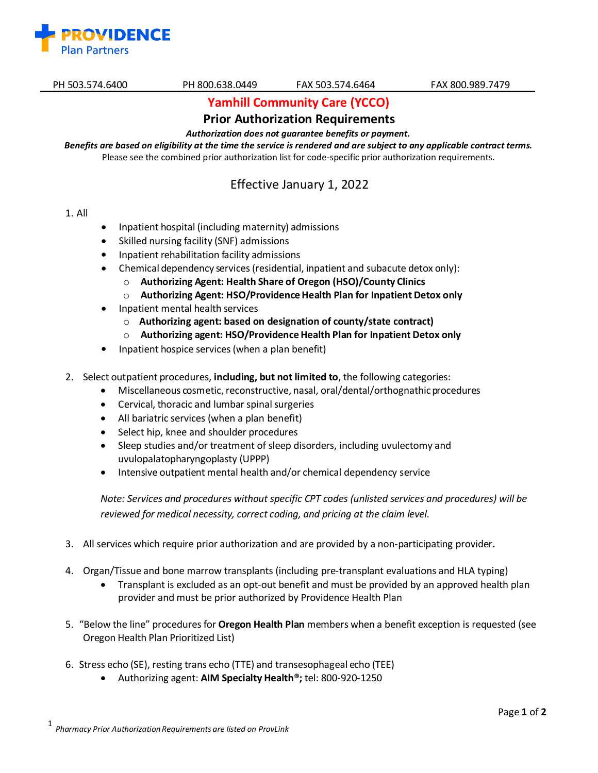

# **Yamhill Community Care (YCCO)**

## **Prior Authorization Requirements**

*Authorization does not guarantee benefits or payment.* 

Benefits are based on eligibility at the time the service is rendered and are subject to any applicable contract terms. Please see the combined prior authorization list for code-specific prior authorization requirements.

## Effective January 1, 2022

- 1. All
- Inpatient hospital (including maternity) admissions
- Skilled nursing facility (SNF) admissions
- Inpatient rehabilitation facility admissions
- Chemical dependency services(residential, inpatient and subacute detox only):
	- o **Authorizing Agent: Health Share of Oregon (HSO)/County Clinics**
	- o **Authorizing Agent: HSO/ProvidenceHealth Plan for Inpatient Detox only**
- Inpatient mental health services
	- o **Authorizing agent: based on designation of county/state contract)**
	- o **Authorizing agent: HSO/ProvidenceHealth Plan for Inpatient Detox only**
- Inpatient hospice services(when a plan benefit)
- 2. Select outpatient procedures, **including, but not limited to**, the following categories:
	- Miscellaneous cosmetic, reconstructive, nasal, oral/dental/orthognathic procedures
	- Cervical, thoracic and lumbar spinal surgeries
	- All bariatric services (when a plan benefit)
	- Select hip, knee and shoulder procedures
	- Sleep studies and/or treatment of sleep disorders, including uvulectomy and uvulopalatopharyngoplasty (UPPP)
	- Intensive outpatient mental health and/or chemical dependency service

*Note: Services and procedures without specific CPT codes (unlisted services and procedures) will be reviewed for medical necessity, correct coding, and pricing at the claim level.*

- 3. All services which require prior authorization and are provided by a non-participating provider**.**
- 4. Organ/Tissue and bone marrow transplants (including pre-transplant evaluations and HLA typing)
	- Transplant is excluded as an opt-out benefit and must be provided by an approved health plan provider and must be prior authorized by Providence Health Plan
- 5. "Below the line" procedures for **Oregon Health Plan** members when a benefit exception is requested (see Oregon Health Plan Prioritized List)
- 6. Stress echo (SE), resting trans echo (TTE) and transesophageal echo (TEE)
	- Authorizing agent: **AIM Specialty Health®;** tel: 800-920-1250